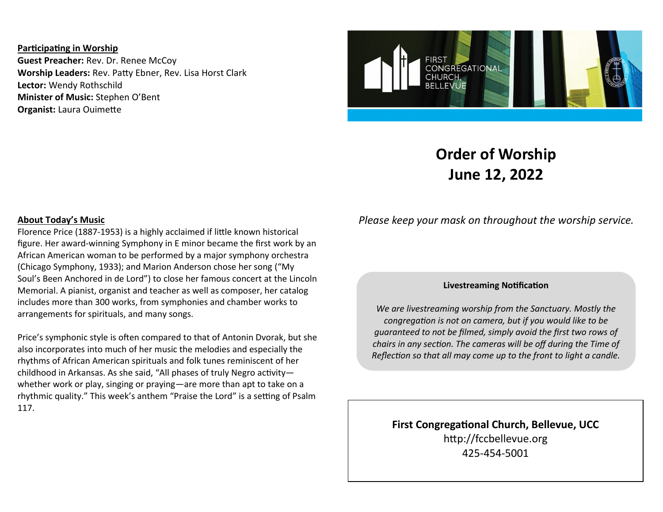**Participating in Worship Guest Preacher:** Rev. Dr. Renee McCoy **Worship Leaders:** Rev. Patty Ebner, Rev. Lisa Horst Clark **Lector:** Wendy Rothschild **Minister of Music:** Stephen O'Bent **Organist:** Laura Ouimette



## **Order of Worship June 12, 2022**

## **About Today's Music**

Florence Price (1887-1953) is a highly acclaimed if little known historical figure. Her award-winning Symphony in E minor became the first work by an African American woman to be performed by a major symphony orchestra (Chicago Symphony, 1933); and Marion Anderson chose her song ("My Soul's Been Anchored in de Lord") to close her famous concert at the Lincoln Memorial. A pianist, organist and teacher as well as composer, her catalog includes more than 300 works, from symphonies and chamber works to arrangements for spirituals, and many songs.

Price's symphonic style is often compared to that of Antonin Dvorak, but she also incorporates into much of her music the melodies and especially the rhythms of African American spirituals and folk tunes reminiscent of her childhood in Arkansas. As she said, "All phases of truly Negro activity whether work or play, singing or praying—are more than apt to take on a rhythmic quality." This week's anthem "Praise the Lord" is a setting of Psalm 117.

*Please keep your mask on throughout the worship service.*

## **Livestreaming Notification**

*We are livestreaming worship from the Sanctuary. Mostly the congregation is not on camera, but if you would like to be guaranteed to not be filmed, simply avoid the first two rows of chairs in any section. The cameras will be off during the Time of Reflection so that all may come up to the front to light a candle.*

**First Congregational Church, Bellevue, UCC** http://fccbellevue.org 425-454-5001